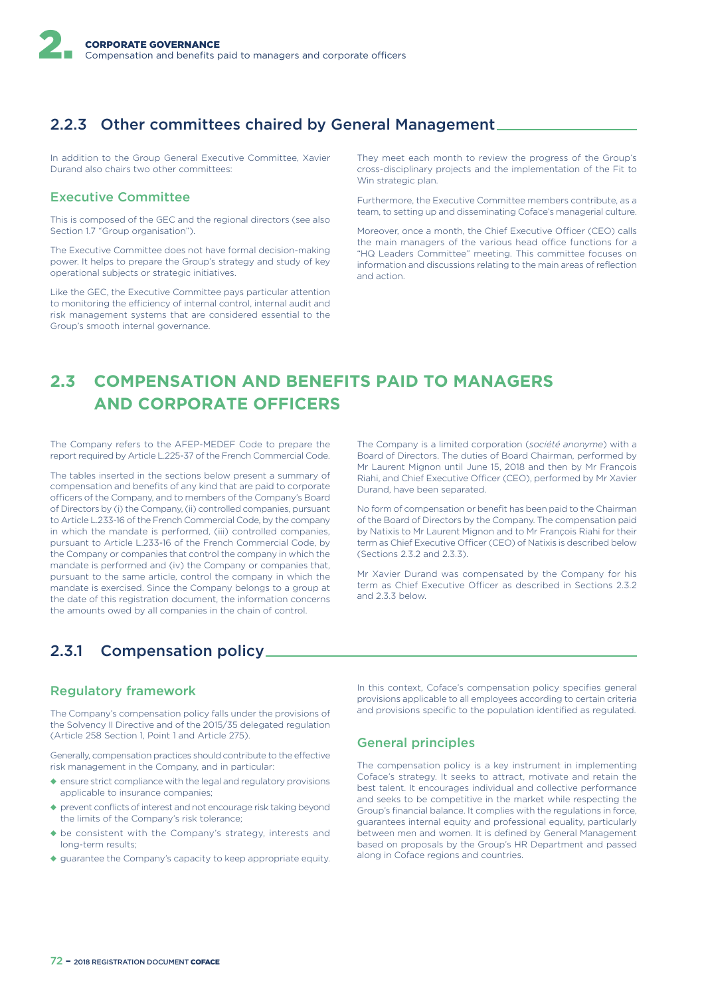# 2.2.3 Other committees chaired by General Management

In addition to the Group General Executive Committee, Xavier Durand also chairs two other committees:

### Executive Committee

This is composed of the GEC and the regional directors (see also Section 1.7 "Group organisation").

The Executive Committee does not have formal decision-making power. It helps to prepare the Group's strategy and study of key operational subjects or strategic initiatives.

Like the GEC, the Executive Committee pays particular attention to monitoring the efficiency of internal control, internal audit and risk management systems that are considered essential to the Group's smooth internal governance.

They meet each month to review the progress of the Group's cross-disciplinary projects and the implementation of the Fit to Win strategic plan.

Furthermore, the Executive Committee members contribute, as a team, to setting up and disseminating Coface's managerial culture.

Moreover, once a month, the Chief Executive Officer (CEO) calls the main managers of the various head office functions for a "HQ Leaders Committee" meeting. This committee focuses on information and discussions relating to the main areas of reflection and action.

# **2.3 COMPENSATION AND BENEFITS PAID TO MANAGERS AND CORPORATE OFFICERS**

The Company refers to the AFEP-MEDEF Code to prepare the report required by Article L.225-37 of the French Commercial Code.

The tables inserted in the sections below present a summary of compensation and benefits of any kind that are paid to corporate officers of the Company, and to members of the Company's Board of Directors by (i) the Company, (ii) controlled companies, pursuant to Article L.233-16 of the French Commercial Code, by the company in which the mandate is performed, (iii) controlled companies, pursuant to Article L.233-16 of the French Commercial Code, by the Company or companies that control the company in which the mandate is performed and (iv) the Company or companies that, pursuant to the same article, control the company in which the mandate is exercised. Since the Company belongs to a group at the date of this registration document, the information concerns the amounts owed by all companies in the chain of control.

The Company is a limited corporation (*société anonyme*) with a Board of Directors. The duties of Board Chairman, performed by Mr Laurent Mignon until June 15, 2018 and then by Mr François Riahi, and Chief Executive Officer (CEO), performed by Mr Xavier Durand, have been separated.

No form of compensation or benefit has been paid to the Chairman of the Board of Directors by the Company. The compensation paid by Natixis to Mr Laurent Mignon and to Mr François Riahi for their term as Chief Executive Officer (CEO) of Natixis is described below (Sections 2.3.2 and 2.3.3).

Mr Xavier Durand was compensated by the Company for his term as Chief Executive Officer as described in Sections 2.3.2 and 2.3.3 below.

# 2.3.1 Compensation policy

### Regulatory framework

The Company's compensation policy falls under the provisions of the Solvency II Directive and of the 2015/35 delegated regulation (Article 258 Section 1, Point 1 and Article 275).

Generally, compensation practices should contribute to the efective risk management in the Company, and in particular:

- ◆ ensure strict compliance with the legal and regulatory provisions applicable to insurance companies;
- ◆ prevent conflicts of interest and not encourage risk taking beyond the limits of the Company's risk tolerance;
- ◆ be consistent with the Company's strategy, interests and long-term results;
- ◆ guarantee the Company's capacity to keep appropriate equity.

In this context, Coface's compensation policy specifies general provisions applicable to all employees according to certain criteria and provisions specific to the population identified as regulated.

### General principles

The compensation policy is a key instrument in implementing Coface's strategy. It seeks to attract, motivate and retain the best talent. It encourages individual and collective performance and seeks to be competitive in the market while respecting the Group's financial balance. It complies with the regulations in force, guarantees internal equity and professional equality, particularly between men and women. It is defined by General Management based on proposals by the Group's HR Department and passed along in Coface regions and countries.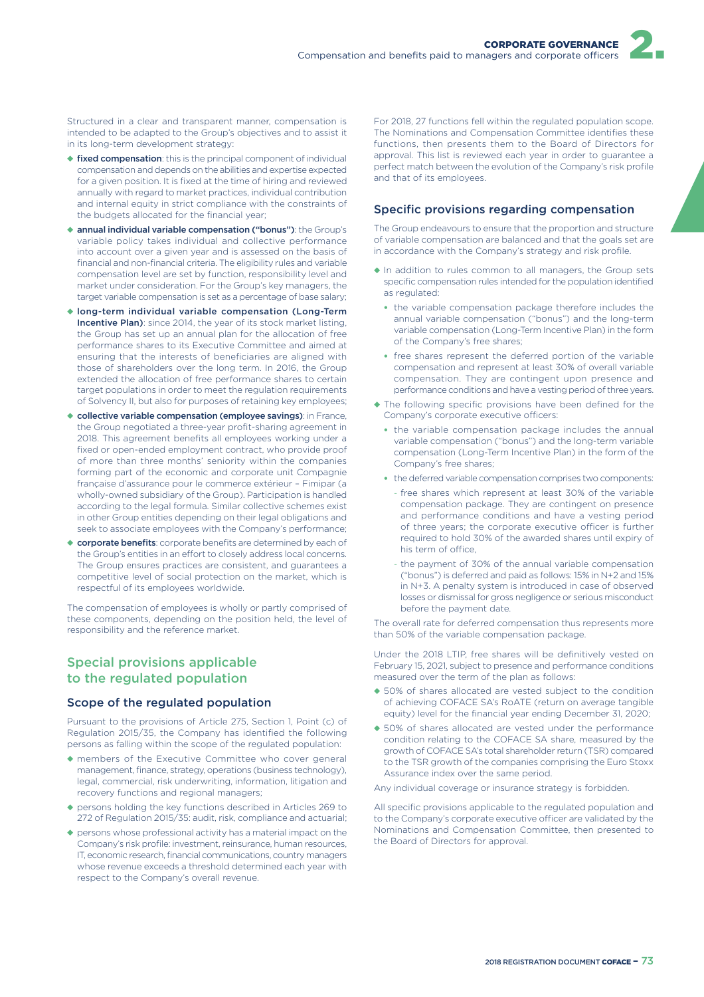Structured in a clear and transparent manner, compensation is intended to be adapted to the Group's objectives and to assist it in its long-term development strategy:

- ◆ fixed compensation: this is the principal component of individual compensation and depends on the abilities and expertise expected for a given position. It is fixed at the time of hiring and reviewed annually with regard to market practices, individual contribution and internal equity in strict compliance with the constraints of the budgets allocated for the financial year;
- ◆ annual individual variable compensation ("bonus"): the Group's variable policy takes individual and collective performance into account over a given year and is assessed on the basis of financial and non-financial criteria. The eligibility rules and variable compensation level are set by function, responsibility level and market under consideration. For the Group's key managers, the target variable compensation is set as a percentage of base salary;
- ◆ long-term individual variable compensation (Long-Term Incentive Plan): since 2014, the year of its stock market listing, the Group has set up an annual plan for the allocation of free performance shares to its Executive Committee and aimed at ensuring that the interests of beneficiaries are aligned with those of shareholders over the long term. In 2016, the Group extended the allocation of free performance shares to certain target populations in order to meet the regulation requirements of Solvency II, but also for purposes of retaining key employees;
- ◆ collective variable compensation (employee savings): in France, the Group negotiated a three-year profit-sharing agreement in 2018. This agreement benefits all employees working under a fixed or open-ended employment contract, who provide proof of more than three months' seniority within the companies forming part of the economic and corporate unit Compagnie française d'assurance pour le commerce extérieur – Fimipar (a wholly-owned subsidiary of the Group). Participation is handled according to the legal formula. Similar collective schemes exist in other Group entities depending on their legal obligations and seek to associate employees with the Company's performance;
- ◆ corporate benefits: corporate benefits are determined by each of the Group's entities in an effort to closely address local concerns. The Group ensures practices are consistent, and guarantees a competitive level of social protection on the market, which is respectful of its employees worldwide.

The compensation of employees is wholly or partly comprised of these components, depending on the position held, the level of responsibility and the reference market.

### Special provisions applicable to the regulated population

#### Scope of the regulated population

Pursuant to the provisions of Article 275, Section 1, Point (c) of Regulation 2015/35, the Company has identified the following persons as falling within the scope of the regulated population:

- ◆ members of the Executive Committee who cover general management, finance, strategy, operations (business technology), legal, commercial, risk underwriting, information, litigation and recovery functions and regional managers;
- ◆ persons holding the key functions described in Articles 269 to 272 of Regulation 2015/35: audit, risk, compliance and actuarial;
- ◆ persons whose professional activity has a material impact on the Company's risk profile: investment, reinsurance, human resources, IT, economic research, financial communications, country managers whose revenue exceeds a threshold determined each year with respect to the Company's overall revenue.

For 2018, 27 functions fell within the regulated population scope. The Nominations and Compensation Committee identifies these functions, then presents them to the Board of Directors for approval. This list is reviewed each year in order to guarantee a perfect match between the evolution of the Company's risk profile and that of its employees.

#### Specific provisions regarding compensation

The Group endeavours to ensure that the proportion and structure of variable compensation are balanced and that the goals set are in accordance with the Company's strategy and risk profile.

- ◆ In addition to rules common to all managers, the Group sets specific compensation rules intended for the population identified as regulated:
	- the variable compensation package therefore includes the annual variable compensation ("bonus") and the long-term variable compensation (Long-Term Incentive Plan) in the form of the Company's free shares;
	- free shares represent the deferred portion of the variable compensation and represent at least 30% of overall variable compensation. They are contingent upon presence and performance conditions and have a vesting period of three years.
- ◆ The following specific provisions have been defined for the Company's corporate executive officers:
	- the variable compensation package includes the annual variable compensation ("bonus") and the long-term variable compensation (Long-Term Incentive Plan) in the form of the Company's free shares;
	- the deferred variable compensation comprises two components:
	- free shares which represent at least 30% of the variable compensation package. They are contingent on presence and performance conditions and have a vesting period of three years; the corporate executive officer is further required to hold 30% of the awarded shares until expiry of his term of office.
	- the payment of 30% of the annual variable compensation ("bonus") is deferred and paid as follows: 15% in N+2 and 15% in N+3. A penalty system is introduced in case of observed losses or dismissal for gross negligence or serious misconduct before the payment date.

The overall rate for deferred compensation thus represents more than 50% of the variable compensation package.

Under the 2018 LTIP, free shares will be definitively vested on February 15, 2021, subject to presence and performance conditions measured over the term of the plan as follows:

- ◆ 50% of shares allocated are vested subject to the condition of achieving COFACE SA's RoATE (return on average tangible equity) level for the financial year ending December 31, 2020;
- ◆ 50% of shares allocated are vested under the performance condition relating to the COFACE SA share, measured by the growth of COFACE SA's total shareholder return (TSR) compared to the TSR growth of the companies comprising the Euro Stoxx Assurance index over the same period.

Any individual coverage or insurance strategy is forbidden.

All specific provisions applicable to the regulated population and to the Company's corporate executive officer are validated by the Nominations and Compensation Committee, then presented to the Board of Directors for approval.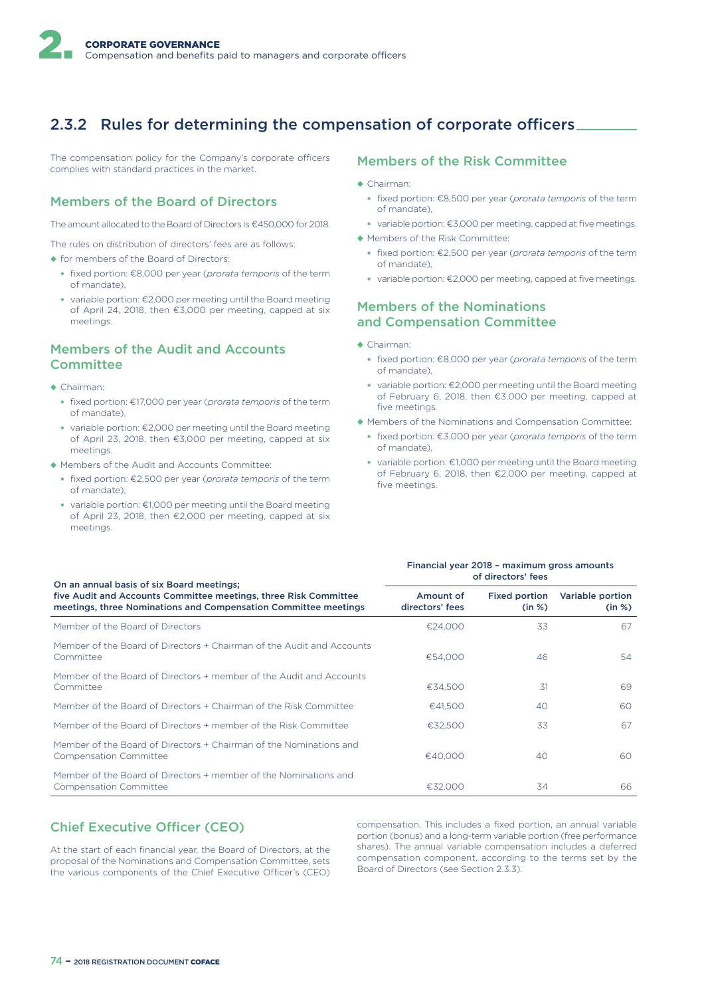# 2.3.2 Rules for determining the compensation of corporate officers.

The compensation policy for the Company's corporate officers complies with standard practices in the market.

## Members of the Board of Directors

The amount allocated to the Board of Directors is €450,000 for 2018.

The rules on distribution of directors' fees are as follows:

- ◆ for members of the Board of Directors:
	- fixed portion: €8,000 per year (*prorata temporis* of the term of mandate),
	- variable portion: €2,000 per meeting until the Board meeting of April 24, 2018, then €3,000 per meeting, capped at six meetings.

### Members of the Audit and Accounts **Committee**

- ◆ Chairman:
	- fixed portion: €17,000 per year (*prorata temporis* of the term of mandate),
	- variable portion: €2,000 per meeting until the Board meeting of April 23, 2018, then €3,000 per meeting, capped at six meetings.
- ◆ Members of the Audit and Accounts Committee:
	- fixed portion: €2,500 per year (*prorata temporis* of the term of mandate),
	- variable portion: €1,000 per meeting until the Board meeting of April 23, 2018, then €2,000 per meeting, capped at six meetings.

#### Members of the Risk Committee

- ◆ Chairman:
	- fixed portion: €8,500 per year (*prorata temporis* of the term of mandate),
	- variable portion: €3,000 per meeting, capped at five meetings.
- ◆ Members of the Risk Committee:
	- fixed portion: €2,500 per year (*prorata temporis* of the term of mandate),
	- variable portion: €2,000 per meeting, capped at five meetings.

### Members of the Nominations and Compensation Committee

- ◆ Chairman:
	- fixed portion: €8,000 per year (*prorata temporis* of the term of mandate),
	- variable portion: €2,000 per meeting until the Board meeting of February 6, 2018, then €3,000 per meeting, capped at five meetings.
- ◆ Members of the Nominations and Compensation Committee:
	- fixed portion: €3,000 per year (*prorata temporis* of the term of mandate),
	- variable portion: €1,000 per meeting until the Board meeting of February 6, 2018, then €2,000 per meeting, capped at five meetings.

| On an annual basis of six Board meetings;                                                                                           | Financial year 2018 - maximum gross amounts<br>of directors' fees |                                |                            |  |  |
|-------------------------------------------------------------------------------------------------------------------------------------|-------------------------------------------------------------------|--------------------------------|----------------------------|--|--|
| five Audit and Accounts Committee meetings, three Risk Committee<br>meetings, three Nominations and Compensation Committee meetings | Amount of<br>directors' fees                                      | <b>Fixed portion</b><br>(in %) | Variable portion<br>(in %) |  |  |
| Member of the Board of Directors                                                                                                    | €24,000                                                           | 33                             | 67                         |  |  |
| Member of the Board of Directors + Chairman of the Audit and Accounts<br>Committee                                                  | €54.000                                                           | 46                             | 54                         |  |  |
| Member of the Board of Directors + member of the Audit and Accounts<br>Committee                                                    | €34.500                                                           | 31                             | 69                         |  |  |
| Member of the Board of Directors + Chairman of the Risk Committee                                                                   | €41.500                                                           | 40                             | 60                         |  |  |
| Member of the Board of Directors + member of the Risk Committee                                                                     | €32.500                                                           | 33                             | 67                         |  |  |
| Member of the Board of Directors + Chairman of the Nominations and<br><b>Compensation Committee</b>                                 | €40.000                                                           | 40                             | 60                         |  |  |
| Member of the Board of Directors + member of the Nominations and<br><b>Compensation Committee</b>                                   | €32,000                                                           | 34                             | 66.                        |  |  |

## **Chief Executive Officer (CEO)**

At the start of each financial year, the Board of Directors, at the proposal of the Nominations and Compensation Committee, sets the various components of the Chief Executive Officer's (CEO) compensation. This includes a fixed portion, an annual variable portion (bonus) and a long-term variable portion (free performance shares). The annual variable compensation includes a deferred compensation component, according to the terms set by the Board of Directors (see Section 2.3.3).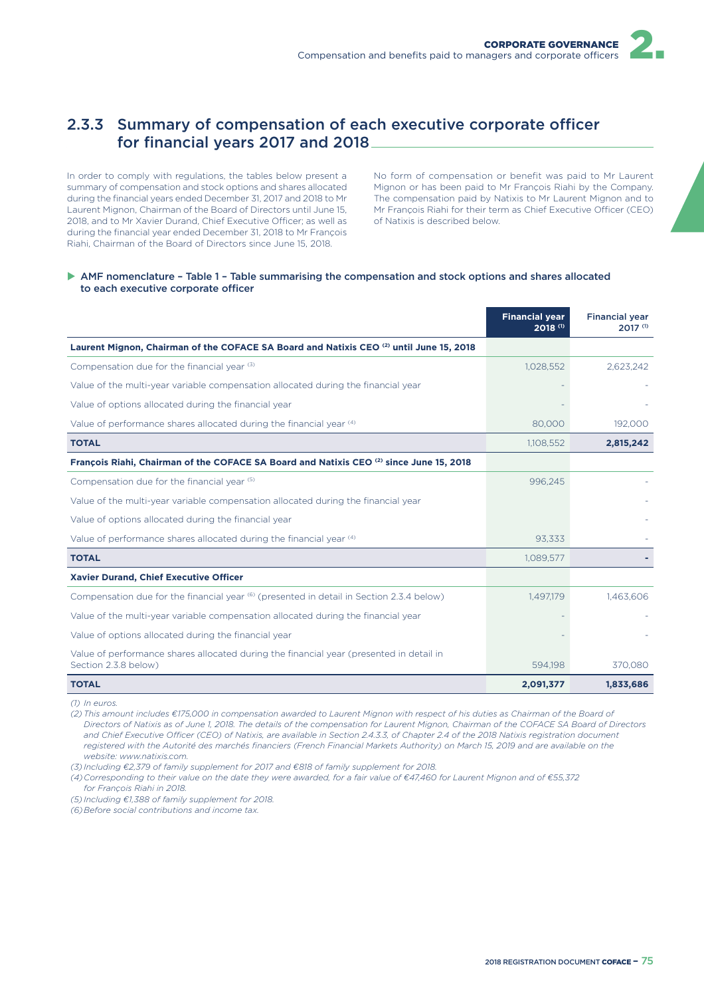# 2.3.3 Summary of compensation of each executive corporate officer for financial years 2017 and 2018

In order to comply with regulations, the tables below present a summary of compensation and stock options and shares allocated during the financial years ended December 31, 2017 and 2018 to Mr Laurent Mignon, Chairman of the Board of Directors until June 15, 2018, and to Mr Xavier Durand, Chief Executive Officer; as well as during the financial year ended December 31, 2018 to Mr François Riahi, Chairman of the Board of Directors since June 15, 2018.

No form of compensation or benefit was paid to Mr Laurent Mignon or has been paid to Mr François Riahi by the Company. The compensation paid by Natixis to Mr Laurent Mignon and to Mr François Riahi for their term as Chief Executive Officer (CEO) of Natixis is described below.

#### AMF nomenclature - Table 1 - Table summarising the compensation and stock options and shares allocated to each executive corporate officer

|                                                                                                                 | <b>Financial year</b><br>2018 (1) | <b>Financial year</b><br>2017 (1) |
|-----------------------------------------------------------------------------------------------------------------|-----------------------------------|-----------------------------------|
| Laurent Mignon, Chairman of the COFACE SA Board and Natixis CEO (2) until June 15, 2018                         |                                   |                                   |
| Compensation due for the financial year (3)                                                                     | 1,028,552                         | 2,623,242                         |
| Value of the multi-year variable compensation allocated during the financial year                               |                                   |                                   |
| Value of options allocated during the financial year                                                            |                                   |                                   |
| Value of performance shares allocated during the financial year (4)                                             | 80,000                            | 192,000                           |
| <b>TOTAL</b>                                                                                                    | 1,108,552                         | 2,815,242                         |
| François Riahi, Chairman of the COFACE SA Board and Natixis CEO (2) since June 15, 2018                         |                                   |                                   |
| Compensation due for the financial year (5)                                                                     | 996,245                           |                                   |
| Value of the multi-year variable compensation allocated during the financial year                               |                                   |                                   |
| Value of options allocated during the financial year                                                            |                                   |                                   |
| Value of performance shares allocated during the financial year (4)                                             | 93,333                            |                                   |
| <b>TOTAL</b>                                                                                                    | 1,089,577                         |                                   |
| Xavier Durand, Chief Executive Officer                                                                          |                                   |                                   |
| Compensation due for the financial year <sup>(6)</sup> (presented in detail in Section 2.3.4 below)             | 1,497,179                         | 1,463,606                         |
| Value of the multi-year variable compensation allocated during the financial year                               |                                   |                                   |
| Value of options allocated during the financial year                                                            |                                   |                                   |
| Value of performance shares allocated during the financial year (presented in detail in<br>Section 2.3.8 below) | 594.198                           | 370,080                           |
| <b>TOTAL</b>                                                                                                    | 2,091,377                         | 1,833,686                         |

*(1) In euros.*

*(2) This amount includes €175,000 in compensation awarded to Laurent Mignon with respect of his duties as Chairman of the Board of Directors of Natixis as of June 1, 2018. The details of the compensation for Laurent Mignon, Chairman of the COFACE SA Board of Directors*  and Chief Executive Officer (CEO) of Natixis, are available in Section 2.4.3.3, of Chapter 2.4 of the 2018 Natixis registration document *registered with the Autorité des marchés financiers (French Financial Markets Authority) on March 15, 2019 and are available on the website: www.natixis.com.*

*(3) Including €2,379 of family supplement for 2017 and €818 of family supplement for 2018.*

*(4) Corresponding to their value on the date they were awarded, for a fair value of €47,460 for Laurent Mignon and of €55,372* 

*for François Riahi in 2018.*

*(5) Including €1,388 of family supplement for 2018.*

*(6) Before social contributions and income tax.*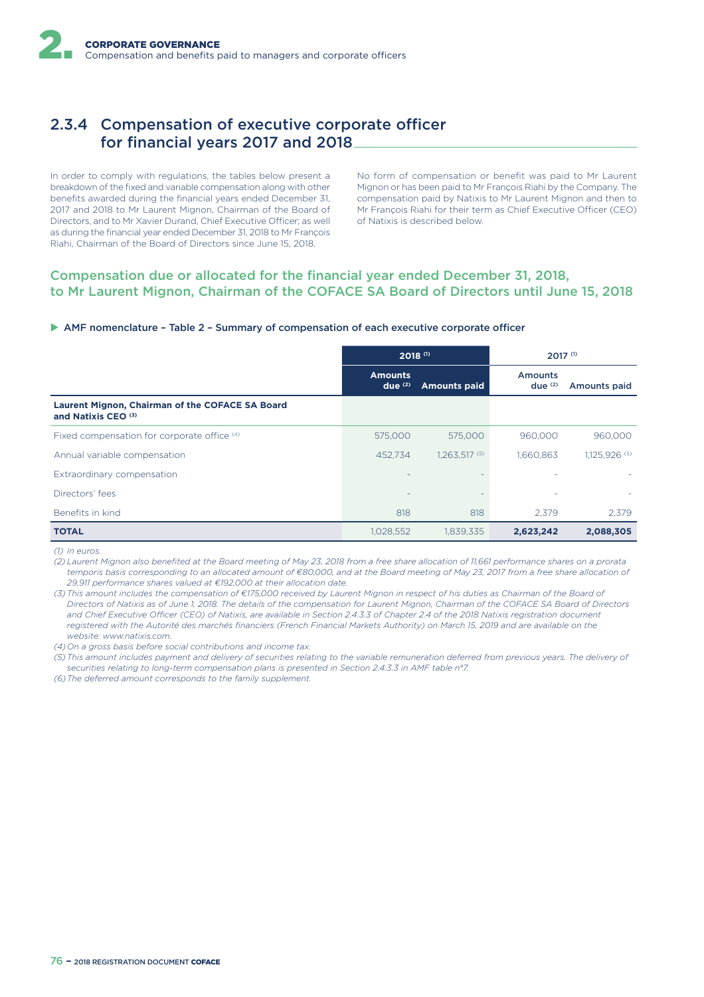# 2.3.4 Compensation of executive corporate officer for financial years 2017 and 2018

In order to comply with regulations, the tables below present a breakdown of the fixed and variable compensation along with other benefits awarded during the financial years ended December 31, 2017 and 2018 to Mr Laurent Mignon, Chairman of the Board of Directors, and to Mr Xavier Durand, Chief Executive Officer; as well as during the financial year ended December 31, 2018 to Mr François Riahi, Chairman of the Board of Directors since June 15, 2018.

No form of compensation or benefit was paid to Mr Laurent Mignon or has been paid to Mr François Riahi by the Company. The compensation paid by Natixis to Mr Laurent Mignon and then to Mr François Riahi for their term as Chief Executive Officer (CEO) of Natixis is described below.

### Compensation due or allocated for the financial year ended December 31, 2018, to Mr Laurent Mignon, Chairman of the COFACE SA Board of Directors until June 15, 2018

#### $\triangleright$  AMF nomenclature – Table 2 – Summary of compensation of each executive corporate officer

|                                                                                   | $2018$ <sup>(1)</sup>       |                     | $2017^{(1)}$                |               |
|-----------------------------------------------------------------------------------|-----------------------------|---------------------|-----------------------------|---------------|
|                                                                                   | <b>Amounts</b><br>due $(2)$ | <b>Amounts paid</b> | <b>Amounts</b><br>due $(2)$ | Amounts paid  |
| Laurent Mignon, Chairman of the COFACE SA Board<br>and Natixis CEO <sup>(3)</sup> |                             |                     |                             |               |
| Fixed compensation for corporate office (4)                                       | 575,000                     | 575,000             | 960,000                     | 960,000       |
| Annual variable compensation                                                      | 452.734                     | 1,263,517 (5)       | 1,660,863                   | 1,125,926 (5) |
| Extraordinary compensation                                                        |                             |                     | ٠                           |               |
| Directors' fees                                                                   |                             |                     | ٠                           |               |
| Benefits in kind                                                                  | 818                         | 818                 | 2.379                       | 2.379         |
| <b>TOTAL</b>                                                                      | 1,028,552                   | 1,839,335           | 2,623,242                   | 2,088,305     |

*(1) In euros.*

*(2) Laurent Mignon also benefited at the Board meeting of May 23, 2018 from a free share allocation of 11,661 performance shares on a prorata temporis basis corresponding to an allocated amount of €80,000, and at the Board meeting of May 23, 2017 from a free share allocation of 29,911 performance shares valued at €192,000 at their allocation date.*

*(3) This amount includes the compensation of €175,000 received by Laurent Mignon in respect of his duties as Chairman of the Board of Directors of Natixis as of June 1, 2018. The details of the compensation for Laurent Mignon, Chairman of the COFACE SA Board of Directors*  and Chief Executive Officer (CEO) of Natixis, are available in Section 2.4.3.3 of Chapter 2.4 of the 2018 Natixis registration document *registered with the Autorité des marchés financiers (French Financial Markets Authority) on March 15, 2019 and are available on the website: www.natixis.com.*

*(4) On a gross basis before social contributions and income tax.*

*(5) This amount includes payment and delivery of securities relating to the variable remuneration deferred from previous years. The delivery of securities relating to long-term compensation plans is presented in Section 2.4.3.3 in AMF table n°7.*

*(6) The deferred amount corresponds to the family supplement.*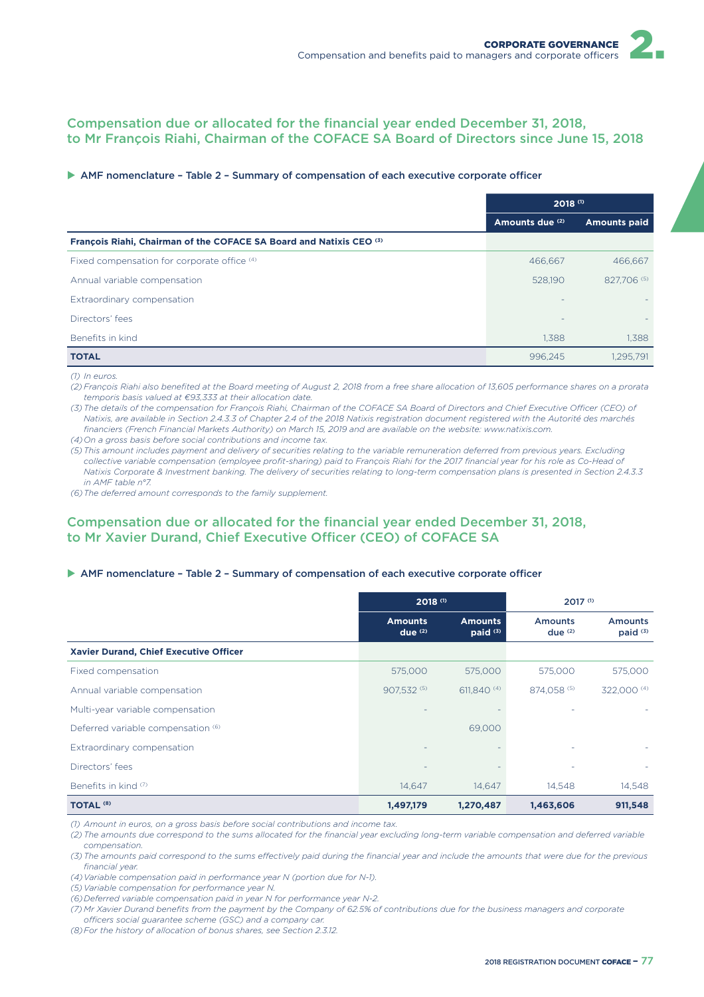## Compensation due or allocated for the financial year ended December 31, 2018, to Mr François Riahi, Chairman of the COFACE SA Board of Directors since June 15, 2018

#### $\triangleright$  AMF nomenclature - Table 2 - Summary of compensation of each executive corporate officer

|                                                                     | $2018^{(1)}$    |                     |
|---------------------------------------------------------------------|-----------------|---------------------|
|                                                                     | Amounts due (2) | <b>Amounts paid</b> |
| François Riahi, Chairman of the COFACE SA Board and Natixis CEO (3) |                 |                     |
| Fixed compensation for corporate office (4)                         | 466.667         | 466.667             |
| Annual variable compensation                                        | 528,190         | 827,706 (5)         |
| Extraordinary compensation                                          |                 |                     |
| Directors' fees                                                     | -               |                     |
| Benefits in kind                                                    | 1.388           | 1,388               |
| <b>TOTAL</b>                                                        | 996.245         | 1.295.791           |

*(1) In euros.*

*(2) François Riahi also benefited at the Board meeting of August 2, 2018 from a free share allocation of 13,605 performance shares on a prorata temporis basis valued at €93,333 at their allocation date.*

(3) The details of the compensation for François Riahi, Chairman of the COFACE SA Board of Directors and Chief Executive Officer (CEO) of *Natixis, are available in Section 2.4.3.3 of Chapter 2.4 of the 2018 Natixis registration document registered with the Autorité des marchés financiers (French Financial Markets Authority) on March 15, 2019 and are available on the website: www.natixis.com.*

*(4) On a gross basis before social contributions and income tax.*

*(5) This amount includes payment and delivery of securities relating to the variable remuneration deferred from previous years. Excluding collective variable compensation (employee profit-sharing) paid to François Riahi for the 2017 financial year for his role as Co-Head of Natixis Corporate & Investment banking. The delivery of securities relating to long-term compensation plans is presented in Section 2.4.3.3 in AMF table n°7.*

*(6) The deferred amount corresponds to the family supplement.*

## Compensation due or allocated for the financial year ended December 31, 2018, to Mr Xavier Durand, Chief Executive Officer (CEO) of COFACE SA

#### $\triangleright$  AMF nomenclature - Table 2 - Summary of compensation of each executive corporate officer

|                                        |                                      | $2018$ <sup>(1)</sup>                 |                             | $2017^{(1)}$                          |  |
|----------------------------------------|--------------------------------------|---------------------------------------|-----------------------------|---------------------------------------|--|
|                                        | <b>Amounts</b><br>due <sup>(2)</sup> | <b>Amounts</b><br>paid <sup>(3)</sup> | <b>Amounts</b><br>due $(2)$ | <b>Amounts</b><br>paid <sup>(3)</sup> |  |
| Xavier Durand, Chief Executive Officer |                                      |                                       |                             |                                       |  |
| Fixed compensation                     | 575,000                              | 575,000                               | 575,000                     | 575,000                               |  |
| Annual variable compensation           | 907.532 (5)                          | 611.840 (4)                           | 874.058 (5)                 | 322,000 (4)                           |  |
| Multi-year variable compensation       |                                      |                                       |                             |                                       |  |
| Deferred variable compensation (6)     |                                      | 69,000                                |                             |                                       |  |
| Extraordinary compensation             |                                      |                                       |                             |                                       |  |
| Directors' fees                        |                                      |                                       |                             |                                       |  |
| Benefits in kind (7)                   | 14,647                               | 14,647                                | 14,548                      | 14,548                                |  |
| <b>TOTAL (8)</b>                       | 1,497,179                            | 1,270,487                             | 1,463,606                   | 911,548                               |  |

*(1) Amount in euros, on a gross basis before social contributions and income tax.*

*(2) The amounts due correspond to the sums allocated for the financial year excluding long-term variable compensation and deferred variable compensation.*

(3) The amounts paid correspond to the sums effectively paid during the financial year and include the amounts that were due for the previous *financial year.*

*(4) Variable compensation paid in performance year N (portion due for N-1).*

*(5) Variable compensation for performance year N.*

*(6) Deferred variable compensation paid in year N for performance year N-2.*

*(7) Mr Xavier Durand benefits from the payment by the Company of 62.5% of contributions due for the business managers and corporate*  officers social guarantee scheme (GSC) and a company car.

*(8) For the history of allocation of bonus shares, see Section 2.3.12.*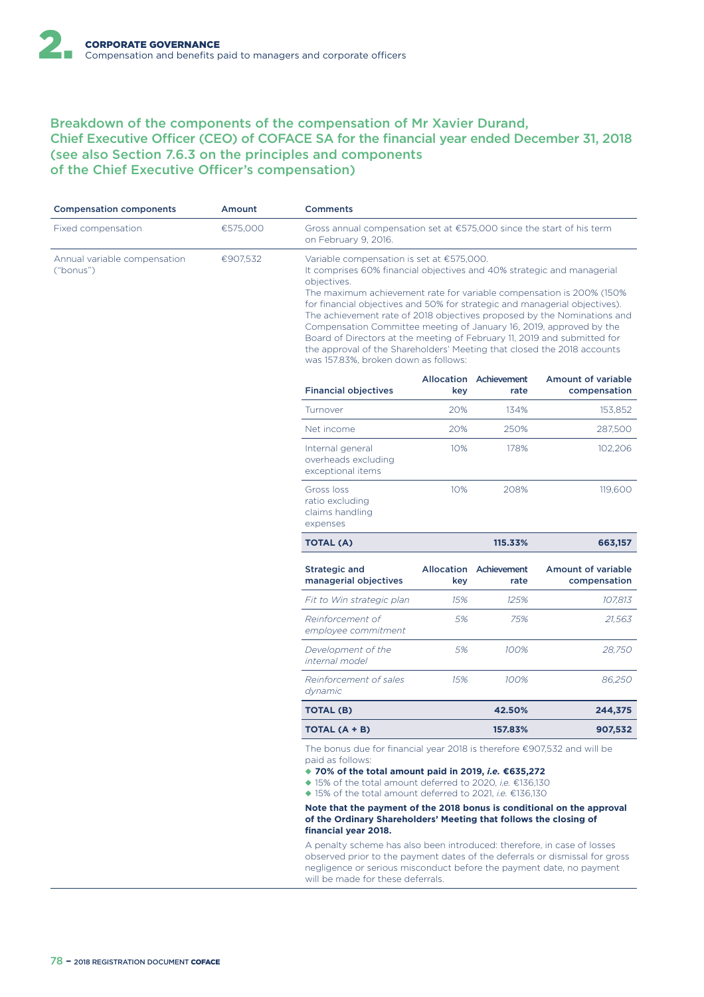## Breakdown of the components of the compensation of Mr Xavier Durand, Chief Executive Officer (CEO) of COFACE SA for the financial year ended December 31, 2018 (see also Section 7.6.3 on the principles and components of the Chief Executive Officer's compensation)

| <b>Compensation components</b>            | Amount   | <b>Comments</b>                                                                                                                                                                                                                                                                                                                                                                                                                                                                                                                                                                                                                           |     |                                |                                           |  |  |
|-------------------------------------------|----------|-------------------------------------------------------------------------------------------------------------------------------------------------------------------------------------------------------------------------------------------------------------------------------------------------------------------------------------------------------------------------------------------------------------------------------------------------------------------------------------------------------------------------------------------------------------------------------------------------------------------------------------------|-----|--------------------------------|-------------------------------------------|--|--|
| Fixed compensation                        | €575,000 | Gross annual compensation set at $\epsilon$ 575,000 since the start of his term<br>on February 9, 2016.                                                                                                                                                                                                                                                                                                                                                                                                                                                                                                                                   |     |                                |                                           |  |  |
| Annual variable compensation<br>("bonus") | €907.532 | Variable compensation is set at €575,000.<br>It comprises 60% financial objectives and 40% strategic and managerial<br>objectives.<br>The maximum achievement rate for variable compensation is 200% (150%<br>for financial objectives and 50% for strategic and managerial objectives).<br>The achievement rate of 2018 objectives proposed by the Nominations and<br>Compensation Committee meeting of January 16, 2019, approved by the<br>Board of Directors at the meeting of February 11, 2019 and submitted for<br>the approval of the Shareholders' Meeting that closed the 2018 accounts<br>was 157.83%, broken down as follows: |     |                                |                                           |  |  |
|                                           |          | <b>Financial objectives</b>                                                                                                                                                                                                                                                                                                                                                                                                                                                                                                                                                                                                               | key | Allocation Achievement<br>rate | <b>Amount of variable</b><br>compensation |  |  |
|                                           |          | Turnover                                                                                                                                                                                                                                                                                                                                                                                                                                                                                                                                                                                                                                  | 20% | 134%                           | 153,852                                   |  |  |
|                                           |          | Net income                                                                                                                                                                                                                                                                                                                                                                                                                                                                                                                                                                                                                                | 20% | 250%                           | 287,500                                   |  |  |
|                                           |          | Internal general<br>overheads excluding<br>exceptional items                                                                                                                                                                                                                                                                                                                                                                                                                                                                                                                                                                              | 10% | 178%                           | 102,206                                   |  |  |
|                                           |          | Gross loss<br>ratio excluding<br>claims handling<br>expenses                                                                                                                                                                                                                                                                                                                                                                                                                                                                                                                                                                              | 10% | 208%                           | 119,600                                   |  |  |
|                                           |          | <b>TOTAL (A)</b>                                                                                                                                                                                                                                                                                                                                                                                                                                                                                                                                                                                                                          |     | 115.33%                        | 663,157                                   |  |  |
|                                           |          | <b>Strategic and</b><br>managerial objectives                                                                                                                                                                                                                                                                                                                                                                                                                                                                                                                                                                                             | key | Allocation Achievement<br>rate | <b>Amount of variable</b><br>compensation |  |  |
|                                           |          | Fit to Win strategic plan                                                                                                                                                                                                                                                                                                                                                                                                                                                                                                                                                                                                                 | 15% | 125%                           | 107,813                                   |  |  |
|                                           |          | Reinforcement of<br>employee commitment                                                                                                                                                                                                                                                                                                                                                                                                                                                                                                                                                                                                   | 5%  | 75%                            | 21,563                                    |  |  |
|                                           |          | Development of the<br>internal model                                                                                                                                                                                                                                                                                                                                                                                                                                                                                                                                                                                                      | 5%  | 100%                           | 28,750                                    |  |  |
|                                           |          | Reinforcement of sales<br>dynamic                                                                                                                                                                                                                                                                                                                                                                                                                                                                                                                                                                                                         | 15% | 100%                           | 86,250                                    |  |  |
|                                           |          | <b>TOTAL (B)</b>                                                                                                                                                                                                                                                                                                                                                                                                                                                                                                                                                                                                                          |     | 42.50%                         | 244,375                                   |  |  |
|                                           |          |                                                                                                                                                                                                                                                                                                                                                                                                                                                                                                                                                                                                                                           |     |                                |                                           |  |  |
|                                           |          | TOTAL (A + B)                                                                                                                                                                                                                                                                                                                                                                                                                                                                                                                                                                                                                             |     | 157.83%                        | 907,532                                   |  |  |
|                                           |          | The bonus due for financial year 2018 is therefore $\epsilon$ 907,532 and will be<br>paid as follows:<br>◆ 70% of the total amount paid in 2019, <i>i.e.</i> $€635,272$<br>$\blacklozenge$ 15% of the total amount deferred to 2020, <i>i.e.</i> $\in$ 136,130<br>◆ 15% of the total amount deferred to 2021, <i>i.e.</i> $€136,130$<br>Note that the payment of the 2018 bonus is conditional on the approval<br>of the Ordinary Shareholders' Meeting that follows the closing of<br>financial year 2018.                                                                                                                               |     |                                |                                           |  |  |

will be made for these deferrals.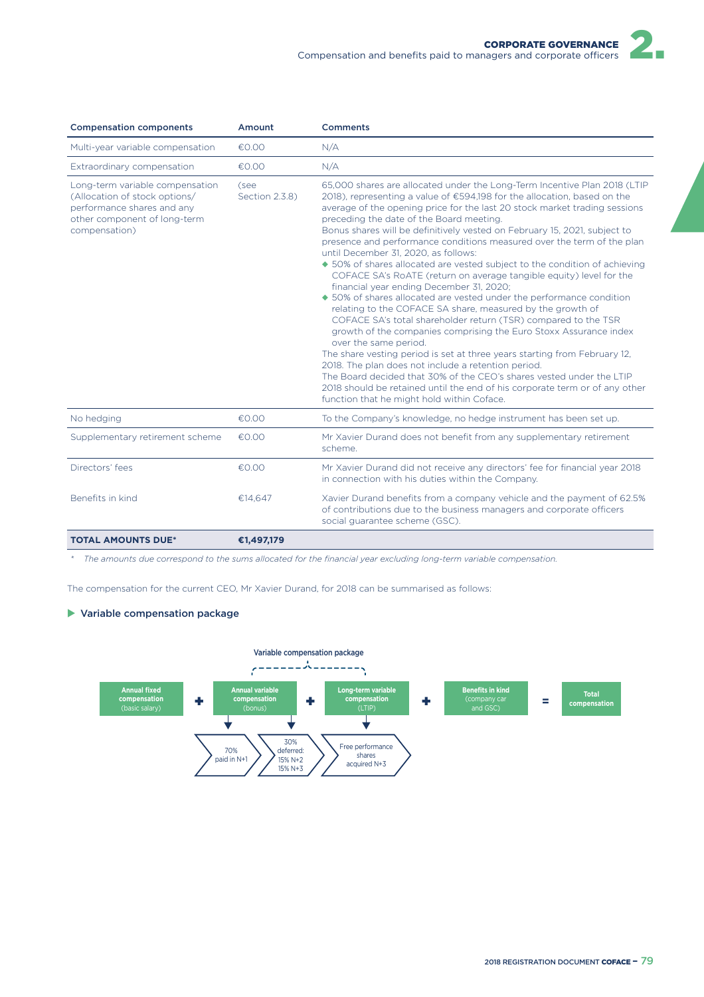| <b>Compensation components</b>                                                                                                                  | Amount                 | <b>Comments</b>                                                                                                                                                                                                                                                                                                                                                                                                                                                                                                                                                                                                                                                                                                                                                                                                                                                                                                                                                                                                                                                                                                                                                                                                                                                                                                                |
|-------------------------------------------------------------------------------------------------------------------------------------------------|------------------------|--------------------------------------------------------------------------------------------------------------------------------------------------------------------------------------------------------------------------------------------------------------------------------------------------------------------------------------------------------------------------------------------------------------------------------------------------------------------------------------------------------------------------------------------------------------------------------------------------------------------------------------------------------------------------------------------------------------------------------------------------------------------------------------------------------------------------------------------------------------------------------------------------------------------------------------------------------------------------------------------------------------------------------------------------------------------------------------------------------------------------------------------------------------------------------------------------------------------------------------------------------------------------------------------------------------------------------|
| Multi-year variable compensation                                                                                                                | E0.00                  | N/A                                                                                                                                                                                                                                                                                                                                                                                                                                                                                                                                                                                                                                                                                                                                                                                                                                                                                                                                                                                                                                                                                                                                                                                                                                                                                                                            |
| Extraordinary compensation                                                                                                                      | €0.00                  | N/A                                                                                                                                                                                                                                                                                                                                                                                                                                                                                                                                                                                                                                                                                                                                                                                                                                                                                                                                                                                                                                                                                                                                                                                                                                                                                                                            |
| Long-term variable compensation<br>(Allocation of stock options/<br>performance shares and any<br>other component of long-term<br>compensation) | (see<br>Section 2.3.8) | 65,000 shares are allocated under the Long-Term Incentive Plan 2018 (LTIP<br>2018), representing a value of €594,198 for the allocation, based on the<br>average of the opening price for the last 20 stock market trading sessions<br>preceding the date of the Board meeting.<br>Bonus shares will be definitively vested on February 15, 2021, subject to<br>presence and performance conditions measured over the term of the plan<br>until December 31, 2020, as follows:<br>• 50% of shares allocated are vested subject to the condition of achieving<br>COFACE SA's RoATE (return on average tangible equity) level for the<br>financial year ending December 31, 2020;<br>◆ 50% of shares allocated are vested under the performance condition<br>relating to the COFACE SA share, measured by the growth of<br>COFACE SA's total shareholder return (TSR) compared to the TSR<br>growth of the companies comprising the Euro Stoxx Assurance index<br>over the same period.<br>The share vesting period is set at three years starting from February 12,<br>2018. The plan does not include a retention period.<br>The Board decided that 30% of the CEO's shares vested under the LTIP<br>2018 should be retained until the end of his corporate term or of any other<br>function that he might hold within Coface. |
| No hedging                                                                                                                                      | €0.00                  | To the Company's knowledge, no hedge instrument has been set up.                                                                                                                                                                                                                                                                                                                                                                                                                                                                                                                                                                                                                                                                                                                                                                                                                                                                                                                                                                                                                                                                                                                                                                                                                                                               |
| Supplementary retirement scheme                                                                                                                 | €0.00                  | Mr Xavier Durand does not benefit from any supplementary retirement<br>scheme.                                                                                                                                                                                                                                                                                                                                                                                                                                                                                                                                                                                                                                                                                                                                                                                                                                                                                                                                                                                                                                                                                                                                                                                                                                                 |
| Directors' fees                                                                                                                                 | €0.00                  | Mr Xavier Durand did not receive any directors' fee for financial year 2018<br>in connection with his duties within the Company.                                                                                                                                                                                                                                                                                                                                                                                                                                                                                                                                                                                                                                                                                                                                                                                                                                                                                                                                                                                                                                                                                                                                                                                               |
| Benefits in kind                                                                                                                                | €14,647                | Xavier Durand benefits from a company vehicle and the payment of 62.5%<br>of contributions due to the business managers and corporate officers<br>social guarantee scheme (GSC).                                                                                                                                                                                                                                                                                                                                                                                                                                                                                                                                                                                                                                                                                                                                                                                                                                                                                                                                                                                                                                                                                                                                               |
| <b>TOTAL AMOUNTS DUE*</b>                                                                                                                       | €1.497.179             |                                                                                                                                                                                                                                                                                                                                                                                                                                                                                                                                                                                                                                                                                                                                                                                                                                                                                                                                                                                                                                                                                                                                                                                                                                                                                                                                |

*\* The amounts due correspond to the sums allocated for the financial year excluding long-term variable compensation.*

The compensation for the current CEO, Mr Xavier Durand, for 2018 can be summarised as follows:

#### $\blacktriangleright$  Variable compensation package

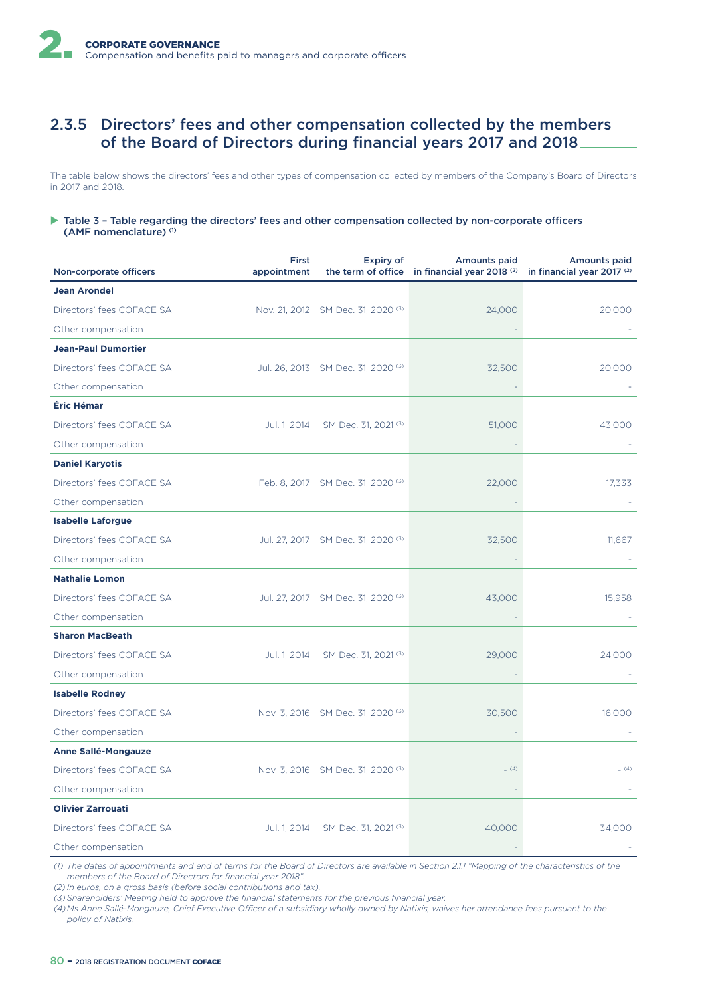# 2.3.5 Directors' fees and other compensation collected by the members of the Board of Directors during financial years 2017 and 2018

The table below shows the directors' fees and other types of compensation collected by members of the Company's Board of Directors in 2017 and 2018.

#### $\triangleright$  Table 3 - Table regarding the directors' fees and other compensation collected by non-corporate officers (AMF nomenclature) (1)

| Non-corporate officers     | First<br>appointment | Expiry of                                     | <b>Amounts paid</b><br>the term of office in financial year 2018 $(2)$ in financial year 2017 $(2)$ | <b>Amounts paid</b> |
|----------------------------|----------------------|-----------------------------------------------|-----------------------------------------------------------------------------------------------------|---------------------|
| <b>Jean Arondel</b>        |                      |                                               |                                                                                                     |                     |
| Directors' fees COFACE SA  |                      | Nov. 21, 2012 SM Dec. 31, 2020 <sup>(3)</sup> | 24,000                                                                                              | 20,000              |
| Other compensation         |                      |                                               |                                                                                                     |                     |
| <b>Jean-Paul Dumortier</b> |                      |                                               |                                                                                                     |                     |
| Directors' fees COFACE SA  |                      | Jul. 26, 2013 SM Dec. 31, 2020 <sup>(3)</sup> | 32,500                                                                                              | 20,000              |
| Other compensation         |                      |                                               |                                                                                                     |                     |
| Éric Hémar                 |                      |                                               |                                                                                                     |                     |
| Directors' fees COFACE SA  | Jul. 1, 2014         | SM Dec. 31, 2021 (3)                          | 51,000                                                                                              | 43,000              |
| Other compensation         |                      |                                               |                                                                                                     |                     |
| <b>Daniel Karyotis</b>     |                      |                                               |                                                                                                     |                     |
| Directors' fees COFACE SA  |                      | Feb. 8, 2017 SM Dec. 31, 2020 <sup>(3)</sup>  | 22,000                                                                                              | 17,333              |
| Other compensation         |                      |                                               |                                                                                                     |                     |
| <b>Isabelle Laforgue</b>   |                      |                                               |                                                                                                     |                     |
| Directors' fees COFACE SA  |                      | Jul. 27, 2017 SM Dec. 31, 2020 (3)            | 32,500                                                                                              | 11,667              |
| Other compensation         |                      |                                               |                                                                                                     |                     |
| <b>Nathalie Lomon</b>      |                      |                                               |                                                                                                     |                     |
| Directors' fees COFACE SA  |                      | Jul. 27, 2017 SM Dec. 31, 2020 <sup>(3)</sup> | 43,000                                                                                              | 15,958              |
| Other compensation         |                      |                                               |                                                                                                     |                     |
| <b>Sharon MacBeath</b>     |                      |                                               |                                                                                                     |                     |
| Directors' fees COFACE SA  |                      | Jul. 1, 2014 SM Dec. 31, 2021 <sup>(3)</sup>  | 29,000                                                                                              | 24,000              |
| Other compensation         |                      |                                               |                                                                                                     |                     |
| <b>Isabelle Rodney</b>     |                      |                                               |                                                                                                     |                     |
| Directors' fees COFACE SA  |                      | Nov. 3, 2016 SM Dec. 31, 2020 (3)             | 30,500                                                                                              | 16,000              |
| Other compensation         |                      |                                               |                                                                                                     |                     |
| <b>Anne Sallé-Mongauze</b> |                      |                                               |                                                                                                     |                     |
| Directors' fees COFACE SA  |                      | Nov. 3, 2016 SM Dec. 31, 2020 <sup>(3)</sup>  | (4)                                                                                                 | (4)                 |
| Other compensation         |                      |                                               |                                                                                                     |                     |
| <b>Olivier Zarrouati</b>   |                      |                                               |                                                                                                     |                     |
| Directors' fees COFACE SA  | Jul. 1, 2014         | SM Dec. 31, 2021 (3)                          | 40,000                                                                                              | 34.000              |
| Other compensation         |                      |                                               |                                                                                                     |                     |

*(1) The dates of appointments and end of terms for the Board of Directors are available in Section 2.1.1 "Mapping of the characteristics of the members of the Board of Directors for financial year 2018".*

*(2) In euros, on a gross basis (before social contributions and tax).*

*(3) Shareholders' Meeting held to approve the financial statements for the previous financial year.*

*(4) Ms Anne Sallé-Mongauze, Chief Executive Officer of a subsidiary wholly owned by Natixis, waives her attendance fees pursuant to the policy of Natixis.*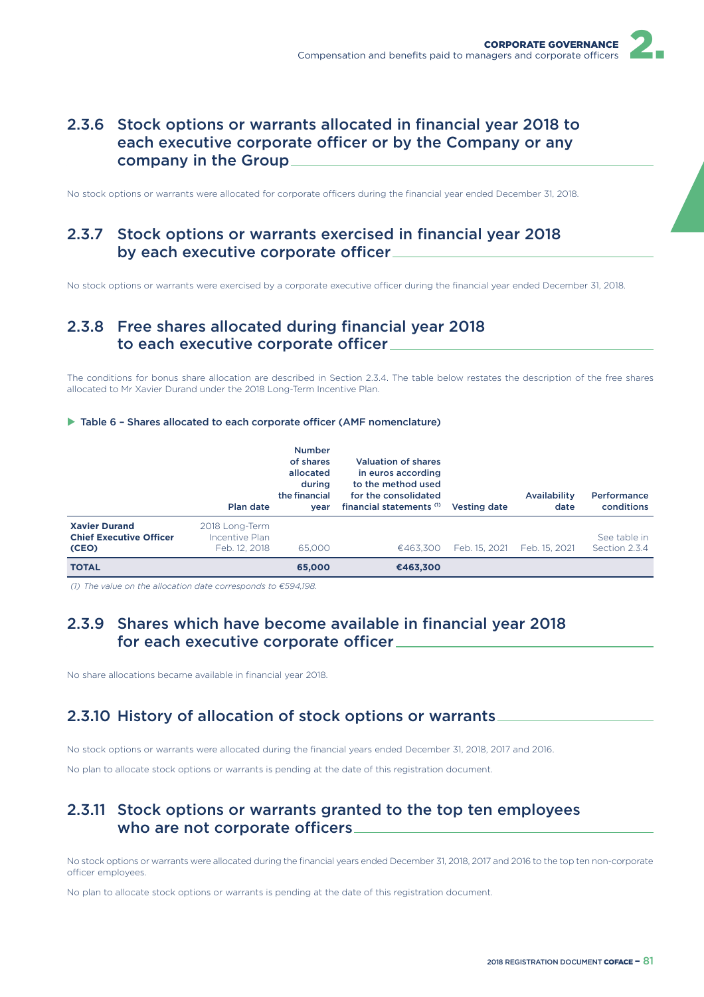# 2.3.6 Stock options or warrants allocated in financial year 2018 to each executive corporate officer or by the Company or any company in the Group

No stock options or warrants were allocated for corporate officers during the financial year ended December 31, 2018.

# 2.3.7 Stock options or warrants exercised in financial year 2018 by each executive corporate officer

No stock options or warrants were exercised by a corporate executive officer during the financial year ended December 31, 2018.

# 2.3.8 Free shares allocated during financial year 2018 to each executive corporate officer\_

The conditions for bonus share allocation are described in Section 2.3.4. The table below restates the description of the free shares allocated to Mr Xavier Durand under the 2018 Long-Term Incentive Plan.

#### $\triangleright$  Table 6 - Shares allocated to each corporate officer (AMF nomenclature)

|                                                                 | Plan date                                         | <b>Number</b><br>of shares<br>allocated<br>during<br>the financial<br>vear | <b>Valuation of shares</b><br>in euros according<br>to the method used<br>for the consolidated<br>financial statements (1) | Vesting date  | Availability<br>date | Performance<br>conditions     |
|-----------------------------------------------------------------|---------------------------------------------------|----------------------------------------------------------------------------|----------------------------------------------------------------------------------------------------------------------------|---------------|----------------------|-------------------------------|
| <b>Xavier Durand</b><br><b>Chief Executive Officer</b><br>(CEO) | 2018 Long-Term<br>Incentive Plan<br>Feb. 12, 2018 | 65,000                                                                     | €463.300                                                                                                                   | Feb. 15, 2021 | Feb. 15, 2021        | See table in<br>Section 2.3.4 |
| <b>TOTAL</b>                                                    |                                                   | 65,000                                                                     | €463,300                                                                                                                   |               |                      |                               |

*(1) The value on the allocation date corresponds to €594,198.*

# 2.3.9 Shares which have become available in financial year 2018 for each executive corporate officer

No share allocations became available in financial year 2018.

# 2.3.10 History of allocation of stock options or warrants

No stock options or warrants were allocated during the financial years ended December 31, 2018, 2017 and 2016.

No plan to allocate stock options or warrants is pending at the date of this registration document.

## 2.3.11 Stock options or warrants granted to the top ten employees who are not corporate officers.

No stock options or warrants were allocated during the financial years ended December 31, 2018, 2017 and 2016 to the top ten non-corporate officer employees.

No plan to allocate stock options or warrants is pending at the date of this registration document.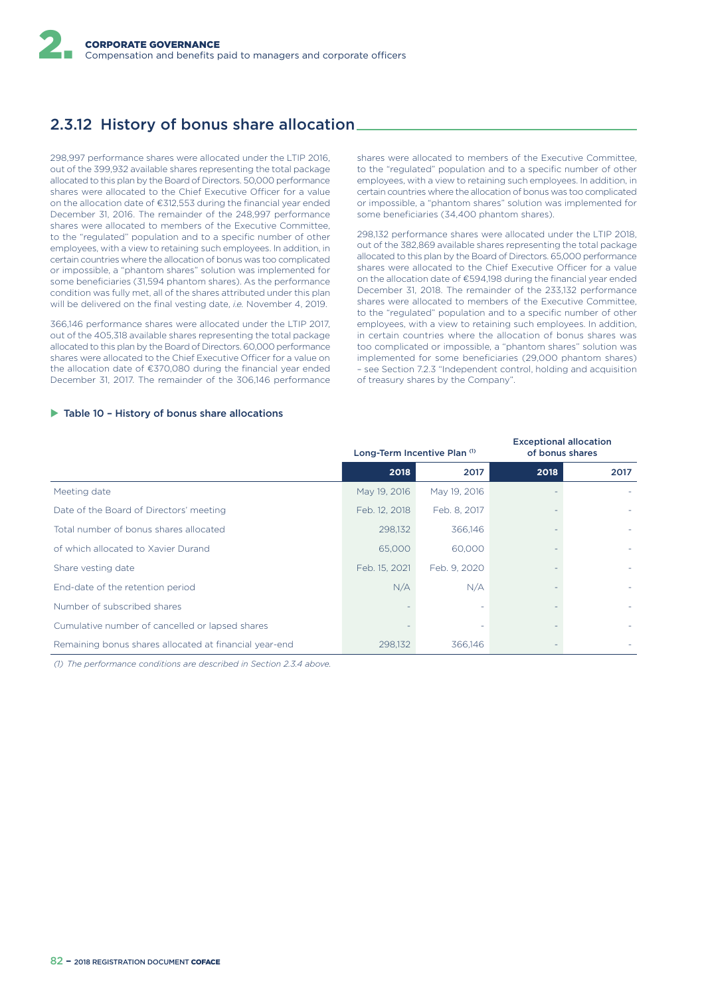# 2.3.12 History of bonus share allocation

298,997 performance shares were allocated under the LTIP 2016, out of the 399,932 available shares representing the total package allocated to this plan by the Board of Directors. 50,000 performance shares were allocated to the Chief Executive Officer for a value on the allocation date of €312,553 during the financial year ended December 31, 2016. The remainder of the 248,997 performance shares were allocated to members of the Executive Committee, to the "regulated" population and to a specific number of other employees, with a view to retaining such employees. In addition, in certain countries where the allocation of bonus was too complicated or impossible, a "phantom shares" solution was implemented for some beneficiaries (31,594 phantom shares). As the performance condition was fully met, all of the shares attributed under this plan will be delivered on the final vesting date, *i.e.* November 4, 2019.

366,146 performance shares were allocated under the LTIP 2017, out of the 405,318 available shares representing the total package allocated to this plan by the Board of Directors. 60,000 performance shares were allocated to the Chief Executive Officer for a value on the allocation date of €370,080 during the financial year ended December 31, 2017. The remainder of the 306,146 performance

shares were allocated to members of the Executive Committee, to the "regulated" population and to a specific number of other employees, with a view to retaining such employees. In addition, in certain countries where the allocation of bonus was too complicated or impossible, a "phantom shares" solution was implemented for some beneficiaries (34,400 phantom shares).

298,132 performance shares were allocated under the LTIP 2018, out of the 382,869 available shares representing the total package allocated to this plan by the Board of Directors. 65,000 performance shares were allocated to the Chief Executive Officer for a value on the allocation date of €594,198 during the financial year ended December 31, 2018. The remainder of the 233,132 performance shares were allocated to members of the Executive Committee, to the "regulated" population and to a specific number of other employees, with a view to retaining such employees. In addition, in certain countries where the allocation of bonus shares was too complicated or impossible, a "phantom shares" solution was implemented for some beneficiaries (29,000 phantom shares) – see Section 7.2.3 "Independent control, holding and acquisition of treasury shares by the Company".

#### $\blacktriangleright$  Table 10 - History of bonus share allocations

|                                                        | Long-Term Incentive Plan (1) |              | <b>Exceptional allocation</b><br>of bonus shares |      |
|--------------------------------------------------------|------------------------------|--------------|--------------------------------------------------|------|
|                                                        | 2018                         | 2017         | 2018                                             | 2017 |
| Meeting date                                           | May 19, 2016                 | May 19, 2016 |                                                  |      |
| Date of the Board of Directors' meeting                | Feb. 12, 2018                | Feb. 8, 2017 |                                                  |      |
| Total number of bonus shares allocated                 | 298.132                      | 366,146      |                                                  |      |
| of which allocated to Xavier Durand                    | 65,000                       | 60,000       |                                                  |      |
| Share vesting date                                     | Feb. 15, 2021                | Feb. 9, 2020 |                                                  |      |
| End-date of the retention period                       | N/A                          | N/A          |                                                  |      |
| Number of subscribed shares                            |                              |              |                                                  |      |
| Cumulative number of cancelled or lapsed shares        |                              |              |                                                  |      |
| Remaining bonus shares allocated at financial year-end | 298,132                      | 366,146      |                                                  |      |

*(1) The performance conditions are described in Section 2.3.4 above.*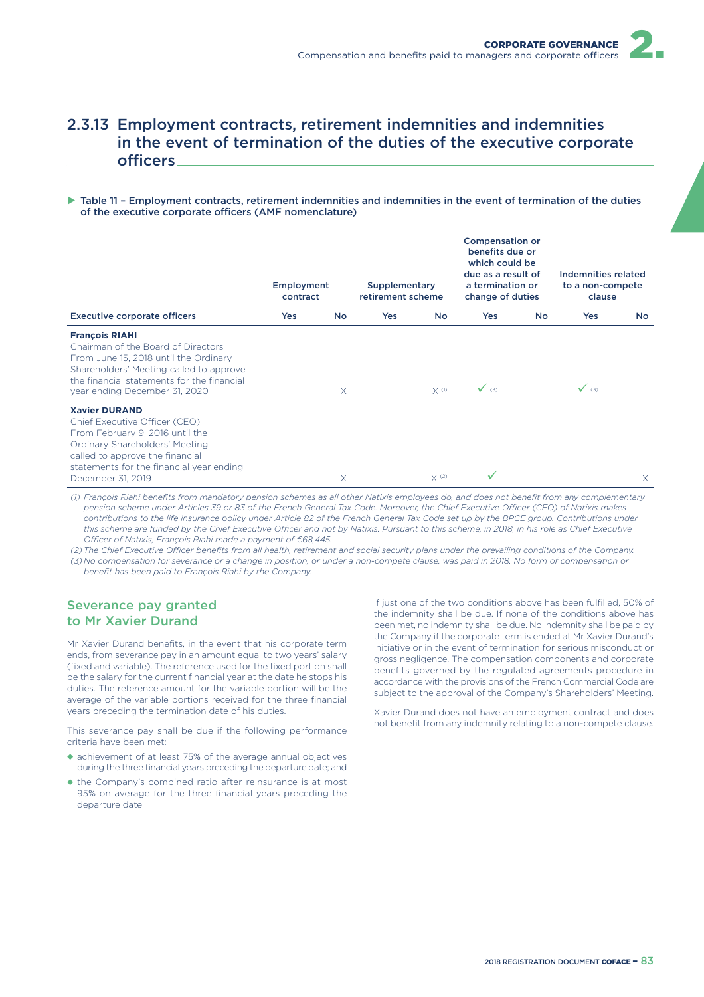# 2.3.13 Employment contracts, retirement indemnities and indemnities in the event of termination of the duties of the executive corporate officers

#### $\triangleright$  Table 11 - Employment contracts, retirement indemnities and indemnities in the event of termination of the duties of the executive corporate officers (AMF nomenclature)

|                                                                                                                                                                                                                                | <b>Employment</b><br>contract |           | Supplementary<br>retirement scheme |                    | <b>Compensation or</b><br>benefits due or<br>which could be<br>due as a result of<br>a termination or<br>change of duties |    | Indemnities related<br>to a non-compete<br>clause |           |
|--------------------------------------------------------------------------------------------------------------------------------------------------------------------------------------------------------------------------------|-------------------------------|-----------|------------------------------------|--------------------|---------------------------------------------------------------------------------------------------------------------------|----|---------------------------------------------------|-----------|
| <b>Executive corporate officers</b>                                                                                                                                                                                            | Yes                           | <b>No</b> | <b>Yes</b>                         | <b>No</b>          | <b>Yes</b>                                                                                                                | No | Yes                                               | <b>No</b> |
| <b>François RIAHI</b><br>Chairman of the Board of Directors<br>From June 15, 2018 until the Ordinary<br>Shareholders' Meeting called to approve<br>the financial statements for the financial<br>year ending December 31, 2020 |                               | $\times$  |                                    | $X$ <sup>(1)</sup> | $\sqrt{(3)}$                                                                                                              |    | $\sqrt{(3)}$                                      |           |
| <b>Xavier DURAND</b><br>Chief Executive Officer (CEO)<br>From February 9, 2016 until the<br>Ordinary Shareholders' Meeting<br>called to approve the financial<br>statements for the financial year ending<br>December 31, 2019 |                               | X         |                                    | X(2)               | ✓                                                                                                                         |    |                                                   | $\times$  |

*(1) François Riahi benefits from mandatory pension schemes as all other Natixis employees do, and does not benefit from any complementary*  pension scheme under Articles 39 or 83 of the French General Tax Code. Moreover, the Chief Executive Officer (CEO) of Natixis makes contributions to the life insurance policy under Article 82 of the French General Tax Code set up by the BPCE group. Contributions under this scheme are funded by the Chief Executive Officer and not by Natixis. Pursuant to this scheme, in 2018, in his role as Chief Executive *OQcer of Natixis, François Riahi made a payment of €68,445.*

(2) The Chief Executive Officer benefits from all health, retirement and social security plans under the prevailing conditions of the Company. *(3) No compensation for severance or a change in position, or under a non-compete clause, was paid in 2018. No form of compensation or benefit has been paid to François Riahi by the Company.*

## Severance pay granted to Mr Xavier Durand

Mr Xavier Durand benefits, in the event that his corporate term ends, from severance pay in an amount equal to two years' salary (fixed and variable). The reference used for the fixed portion shall be the salary for the current financial year at the date he stops his duties. The reference amount for the variable portion will be the average of the variable portions received for the three financial years preceding the termination date of his duties.

This severance pay shall be due if the following performance criteria have been met:

- ◆ achievement of at least 75% of the average annual objectives during the three financial years preceding the departure date; and
- ◆ the Company's combined ratio after reinsurance is at most 95% on average for the three financial years preceding the departure date.

If just one of the two conditions above has been fulfilled, 50% of the indemnity shall be due. If none of the conditions above has been met, no indemnity shall be due. No indemnity shall be paid by the Company if the corporate term is ended at Mr Xavier Durand's initiative or in the event of termination for serious misconduct or gross negligence. The compensation components and corporate benefits governed by the regulated agreements procedure in accordance with the provisions of the French Commercial Code are subject to the approval of the Company's Shareholders' Meeting.

Xavier Durand does not have an employment contract and does not benefit from any indemnity relating to a non-compete clause.